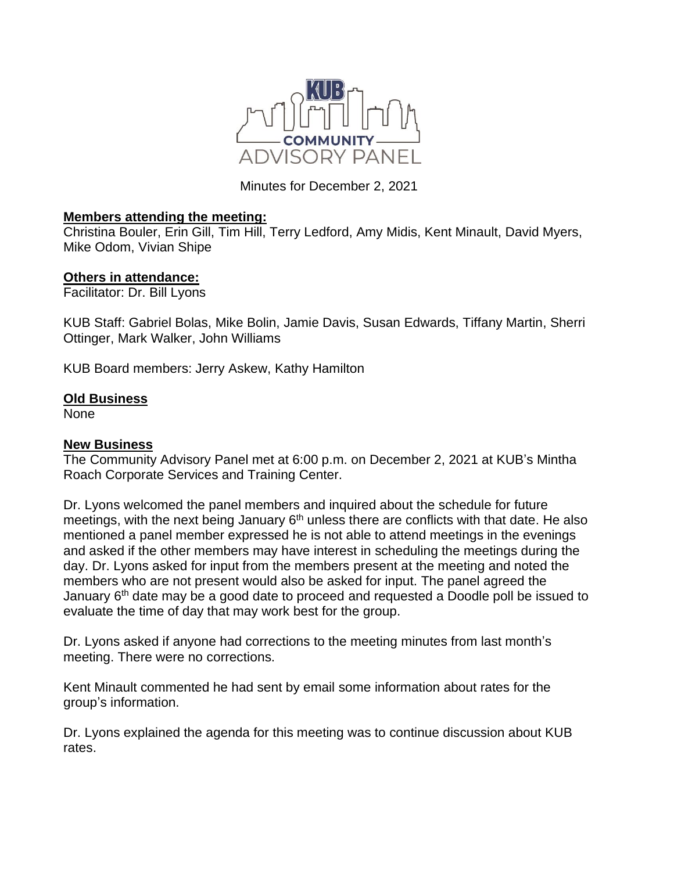

Minutes for December 2, 2021

## **Members attending the meeting:**

Christina Bouler, Erin Gill, Tim Hill, Terry Ledford, Amy Midis, Kent Minault, David Myers, Mike Odom, Vivian Shipe

## **Others in attendance:**

Facilitator: Dr. Bill Lyons

KUB Staff: Gabriel Bolas, Mike Bolin, Jamie Davis, Susan Edwards, Tiffany Martin, Sherri Ottinger, Mark Walker, John Williams

KUB Board members: Jerry Askew, Kathy Hamilton

## **Old Business**

None

## **New Business**

The Community Advisory Panel met at 6:00 p.m. on December 2, 2021 at KUB's Mintha Roach Corporate Services and Training Center.

Dr. Lyons welcomed the panel members and inquired about the schedule for future meetings, with the next being January  $6<sup>th</sup>$  unless there are conflicts with that date. He also mentioned a panel member expressed he is not able to attend meetings in the evenings and asked if the other members may have interest in scheduling the meetings during the day. Dr. Lyons asked for input from the members present at the meeting and noted the members who are not present would also be asked for input. The panel agreed the January  $6<sup>th</sup>$  date may be a good date to proceed and requested a Doodle poll be issued to evaluate the time of day that may work best for the group.

Dr. Lyons asked if anyone had corrections to the meeting minutes from last month's meeting. There were no corrections.

Kent Minault commented he had sent by email some information about rates for the group's information.

Dr. Lyons explained the agenda for this meeting was to continue discussion about KUB rates.